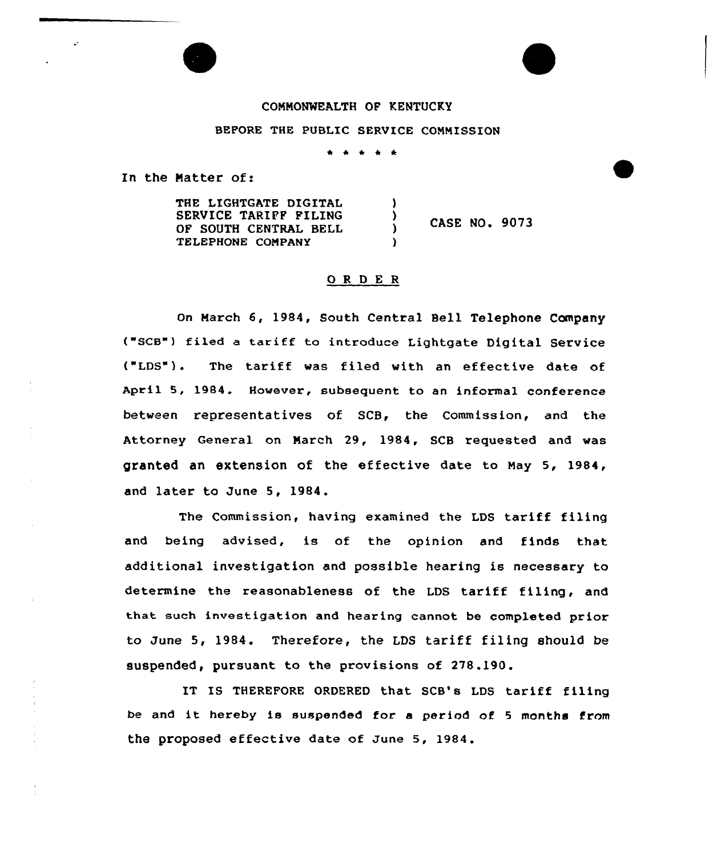## COMMONWEALTH OF KENTUCKY

## BEFORE THE PUBLIC SERYICE COMMISSION

In the Natter of:

THE LIGHTGATE DIGITAL SERVICE TARIFF FILING OF SOUTH CENTRAL BELL TELEPHONE COMPANY

CASE NO. 9073

## ORDER

)

A -1  $\lambda$ 

On March 6, 1984, South Central Bell Telephone Company ("scs") filed <sup>a</sup> tariff to introduce Lightgate Digital service ("LDS"). The tariff was filed with an effective date of April 5, 1984. However, subsequent to an informal conference between representatives of SCB, the Commission, and the Attorney General on March 29, 1984, SCB requested and was granted an extension of the effective date to May 5, 1984, and later to June 5, 1984.

The Commission, having examined the LDS tariff filing and being advised, is of the opinion and finds that additional investigation and possible hearing is necessary to determine the reasonableness of the LDS tariff filing, and that auch investigation and hearing cannot be completed prior to June 5, 1984. Therefore, the LDS tariff filing should be suspended, pursuant to the provisions of 278.190.

IT IS THEREFORE ORDERED that SCB's LDS tariff filing be and it hereby is suspended for <sup>a</sup> period of <sup>5</sup> months from the proposed effective date of June 5, 1984.